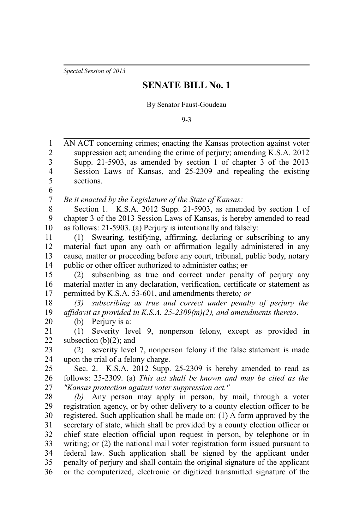*Special Session of 2013*

## **SENATE BILL No. 1**

By Senator Faust-Goudeau

9-3

| 1              | AN ACT concerning crimes; enacting the Kansas protection against voter        |
|----------------|-------------------------------------------------------------------------------|
| $\overline{c}$ | suppression act; amending the crime of perjury; amending K.S.A. 2012          |
| 3              | Supp. 21-5903, as amended by section 1 of chapter 3 of the 2013               |
| 4              | Session Laws of Kansas, and 25-2309 and repealing the existing                |
| 5              | sections.                                                                     |
| 6              |                                                                               |
| $\tau$         | Be it enacted by the Legislature of the State of Kansas:                      |
| $\,8\,$        | Section 1. K.S.A. 2012 Supp. 21-5903, as amended by section 1 of              |
| 9              | chapter 3 of the 2013 Session Laws of Kansas, is hereby amended to read       |
| 10             | as follows: 21-5903. (a) Perjury is intentionally and falsely:                |
| 11             | Swearing, testifying, affirming, declaring or subscribing to any<br>(1)       |
| 12             | material fact upon any oath or affirmation legally administered in any        |
| 13             | cause, matter or proceeding before any court, tribunal, public body, notary   |
| 14             | public or other officer authorized to administer oaths; or                    |
| 15             | subscribing as true and correct under penalty of perjury any<br>(2)           |
| 16             | material matter in any declaration, verification, certificate or statement as |
| 17             | permitted by K.S.A. 53-601, and amendments thereto; or                        |
| 18             | subscribing as true and correct under penalty of perjury the<br>(3)           |
| 19             | affidavit as provided in K.S.A. $25-2309(m)(2)$ , and amendments thereto.     |
| 20             | (b) Perjury is a:                                                             |
| 21             | Severity level 9, nonperson felony, except as provided in<br>(1)              |
| 22             | subsection $(b)(2)$ ; and                                                     |
| 23             | severity level 7, nonperson felony if the false statement is made<br>(2)      |
| 24             | upon the trial of a felony charge.                                            |
| 25             | Sec. 2. K.S.A. 2012 Supp. 25-2309 is hereby amended to read as                |
| 26             | follows: 25-2309. (a) This act shall be known and may be cited as the         |
| 27             | "Kansas protection against voter suppression act."                            |
| 28             | Any person may apply in person, by mail, through a voter<br>(b)               |
| 29             | registration agency, or by other delivery to a county election officer to be  |
| 30             | registered. Such application shall be made on: (1) A form approved by the     |
| 31             | secretary of state, which shall be provided by a county election officer or   |
| 32             | chief state election official upon request in person, by telephone or in      |
| 33             | writing; or (2) the national mail voter registration form issued pursuant to  |
| 34             | federal law. Such application shall be signed by the applicant under          |
| 35             | penalty of perjury and shall contain the original signature of the applicant  |
| 36             | or the computerized, electronic or digitized transmitted signature of the     |
|                |                                                                               |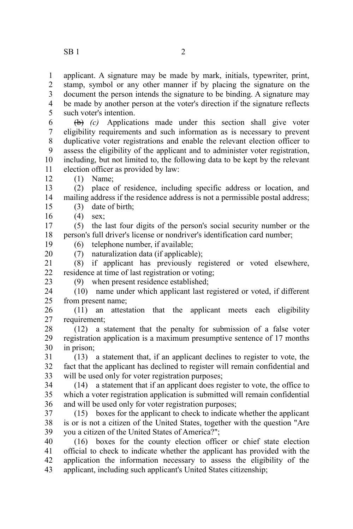applicant. A signature may be made by mark, initials, typewriter, print, stamp, symbol or any other manner if by placing the signature on the document the person intends the signature to be binding. A signature may be made by another person at the voter's direction if the signature reflects such voter's intention. 1 2 3 4 5

(b) *(c)* Applications made under this section shall give voter eligibility requirements and such information as is necessary to prevent duplicative voter registrations and enable the relevant election officer to assess the eligibility of the applicant and to administer voter registration, including, but not limited to, the following data to be kept by the relevant election officer as provided by law: 6 7 8 9 10 11

(1) Name;

(2) place of residence, including specific address or location, and mailing address if the residence address is not a permissible postal address; 13 14 15

- (3) date of birth;
- (4) sex; 16

12

20

(5) the last four digits of the person's social security number or the person's full driver's license or nondriver's identification card number; 17 18

- (6) telephone number, if available; 19
	- (7) naturalization data (if applicable);

(8) if applicant has previously registered or voted elsewhere, residence at time of last registration or voting; 21 22

(9) when present residence established; 23

(10) name under which applicant last registered or voted, if different from present name; 24 25

(11) an attestation that the applicant meets each eligibility requirement; 26 27

(12) a statement that the penalty for submission of a false voter registration application is a maximum presumptive sentence of 17 months in prison; 28 29 30

(13) a statement that, if an applicant declines to register to vote, the fact that the applicant has declined to register will remain confidential and will be used only for voter registration purposes; 31 32 33

(14) a statement that if an applicant does register to vote, the office to which a voter registration application is submitted will remain confidential and will be used only for voter registration purposes; 34 35 36

(15) boxes for the applicant to check to indicate whether the applicant is or is not a citizen of the United States, together with the question "Are you a citizen of the United States of America?"; 37 38 39

(16) boxes for the county election officer or chief state election official to check to indicate whether the applicant has provided with the application the information necessary to assess the eligibility of the applicant, including such applicant's United States citizenship; 40 41 42 43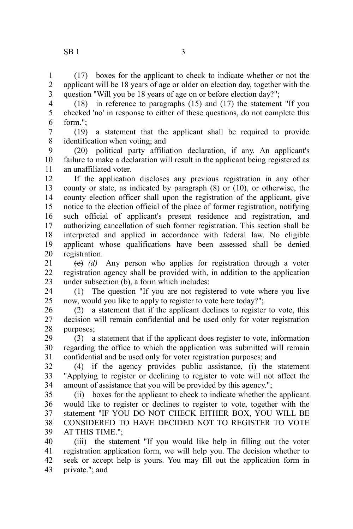(17) boxes for the applicant to check to indicate whether or not the applicant will be 18 years of age or older on election day, together with the question "Will you be 18 years of age on or before election day?"; 1 2 3

(18) in reference to paragraphs (15) and (17) the statement "If you checked 'no' in response to either of these questions, do not complete this form."; 4 5 6

(19) a statement that the applicant shall be required to provide identification when voting; and 7 8

(20) political party affiliation declaration, if any. An applicant's failure to make a declaration will result in the applicant being registered as an unaffiliated voter. 9 10 11

If the application discloses any previous registration in any other county or state, as indicated by paragraph (8) or (10), or otherwise, the county election officer shall upon the registration of the applicant, give notice to the election official of the place of former registration, notifying such official of applicant's present residence and registration, and authorizing cancellation of such former registration. This section shall be interpreted and applied in accordance with federal law. No eligible applicant whose qualifications have been assessed shall be denied registration. 12 13 14 15 16 17 18 19 20

(c) *(d)* Any person who applies for registration through a voter registration agency shall be provided with, in addition to the application under subsection (b), a form which includes: 21 22 23

(1) The question "If you are not registered to vote where you live now, would you like to apply to register to vote here today?"; 24 25

(2) a statement that if the applicant declines to register to vote, this decision will remain confidential and be used only for voter registration purposes; 26 27 28

(3) a statement that if the applicant does register to vote, information regarding the office to which the application was submitted will remain confidential and be used only for voter registration purposes; and 29 30 31

(4) if the agency provides public assistance, (i) the statement "Applying to register or declining to register to vote will not affect the amount of assistance that you will be provided by this agency."; 32 33 34

(ii) boxes for the applicant to check to indicate whether the applicant would like to register or declines to register to vote, together with the statement "IF YOU DO NOT CHECK EITHER BOX, YOU WILL BE CONSIDERED TO HAVE DECIDED NOT TO REGISTER TO VOTE AT THIS TIME."; 35 36 37 38 39

(iii) the statement "If you would like help in filling out the voter registration application form, we will help you. The decision whether to seek or accept help is yours. You may fill out the application form in private."; and 40 41 42 43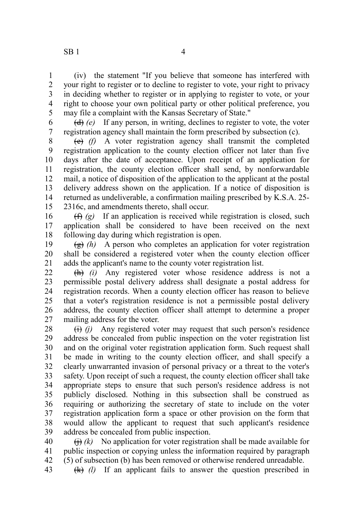43

(iv) the statement "If you believe that someone has interfered with your right to register or to decline to register to vote, your right to privacy in deciding whether to register or in applying to register to vote, or your right to choose your own political party or other political preference, you may file a complaint with the Kansas Secretary of State." 1 2 3 4 5

(d) *(e)* If any person, in writing, declines to register to vote, the voter registration agency shall maintain the form prescribed by subsection (c). 6 7

(e) *(f)* A voter registration agency shall transmit the completed registration application to the county election officer not later than five days after the date of acceptance. Upon receipt of an application for registration, the county election officer shall send, by nonforwardable mail, a notice of disposition of the application to the applicant at the postal delivery address shown on the application. If a notice of disposition is returned as undeliverable, a confirmation mailing prescribed by K.S.A. 25- 2316c, and amendments thereto, shall occur. 8 9 10 11 12 13 14 15

(f) *(g)* If an application is received while registration is closed, such application shall be considered to have been received on the next following day during which registration is open. 16 17 18

 $\left(\frac{g}{g}\right)$  (h) A person who completes an application for voter registration shall be considered a registered voter when the county election officer adds the applicant's name to the county voter registration list. 19 20 21

(h) *(i)* Any registered voter whose residence address is not a permissible postal delivery address shall designate a postal address for registration records. When a county election officer has reason to believe that a voter's registration residence is not a permissible postal delivery address, the county election officer shall attempt to determine a proper mailing address for the voter. 22 23 24 25 26 27

 $(i)$  Any registered voter may request that such person's residence address be concealed from public inspection on the voter registration list and on the original voter registration application form. Such request shall be made in writing to the county election officer, and shall specify a clearly unwarranted invasion of personal privacy or a threat to the voter's safety. Upon receipt of such a request, the county election officer shall take appropriate steps to ensure that such person's residence address is not publicly disclosed. Nothing in this subsection shall be construed as requiring or authorizing the secretary of state to include on the voter registration application form a space or other provision on the form that would allow the applicant to request that such applicant's residence address be concealed from public inspection. 28 29 30 31 32 33 34 35 36 37 38 39

 $\overrightarrow{(h)}$  (k) No application for voter registration shall be made available for public inspection or copying unless the information required by paragraph (5) of subsection (b) has been removed or otherwise rendered unreadable. 40 41 42

(k) *(l)* If an applicant fails to answer the question prescribed in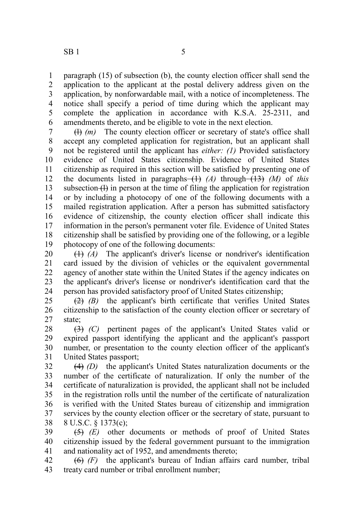paragraph (15) of subsection (b), the county election officer shall send the application to the applicant at the postal delivery address given on the application, by nonforwardable mail, with a notice of incompleteness. The notice shall specify a period of time during which the applicant may complete the application in accordance with K.S.A. 25-2311, and amendments thereto, and be eligible to vote in the next election. 1 2 3 4 5 6

(l) *(m)* The county election officer or secretary of state's office shall accept any completed application for registration, but an applicant shall not be registered until the applicant has *either: (1)* Provided satisfactory evidence of United States citizenship. Evidence of United States citizenship as required in this section will be satisfied by presenting one of the documents listed in paragraphs (1) *(A)* through (13) *(M)* of *this* subsection  $\left\langle \cdot \right\rangle$  in person at the time of filing the application for registration or by including a photocopy of one of the following documents with a mailed registration application. After a person has submitted satisfactory evidence of citizenship, the county election officer shall indicate this information in the person's permanent voter file. Evidence of United States citizenship shall be satisfied by providing one of the following, or a legible photocopy of one of the following documents: 7 8 9 10 11 12 13 14 15 16 17 18 19

(1) *(A)* The applicant's driver's license or nondriver's identification card issued by the division of vehicles or the equivalent governmental agency of another state within the United States if the agency indicates on the applicant's driver's license or nondriver's identification card that the person has provided satisfactory proof of United States citizenship; 20 21 22 23 24

(2) *(B)* the applicant's birth certificate that verifies United States citizenship to the satisfaction of the county election officer or secretary of state; 25 26 27

(3) *(C)* pertinent pages of the applicant's United States valid or expired passport identifying the applicant and the applicant's passport number, or presentation to the county election officer of the applicant's United States passport; 28 29 30 31

(4) *(D)* the applicant's United States naturalization documents or the number of the certificate of naturalization. If only the number of the certificate of naturalization is provided, the applicant shall not be included in the registration rolls until the number of the certificate of naturalization is verified with the United States bureau of citizenship and immigration services by the county election officer or the secretary of state, pursuant to 8 U.S.C. § 1373(c); 32 33 34 35 36 37 38

(5) *(E)* other documents or methods of proof of United States citizenship issued by the federal government pursuant to the immigration and nationality act of 1952, and amendments thereto; 39 40 41

(6) *(F)* the applicant's bureau of Indian affairs card number, tribal treaty card number or tribal enrollment number; 42 43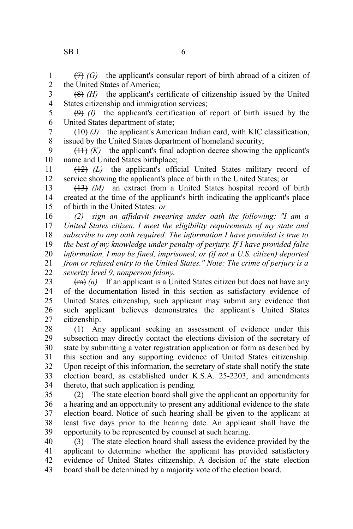(7) *(G)* the applicant's consular report of birth abroad of a citizen of the United States of America; 1 2

(8) *(H)* the applicant's certificate of citizenship issued by the United States citizenship and immigration services; 3 4

(9) *(I)* the applicant's certification of report of birth issued by the United States department of state; 5 6

(10) *(J)* the applicant's American Indian card, with KIC classification, issued by the United States department of homeland security; 7 8

 $(11)$   $(K)$  the applicant's final adoption decree showing the applicant's name and United States birthplace; 9 10

(12) *(L)* the applicant's official United States military record of service showing the applicant's place of birth in the United States; or 11 12

(13) *(M)* an extract from a United States hospital record of birth created at the time of the applicant's birth indicating the applicant's place of birth in the United States*; or* 13 14 15

*(2) sign an affidavit swearing under oath the following: "I am a United States citizen. I meet the eligibility requirements of my state and subscribe to any oath required. The information I have provided is true to the best of my knowledge under penalty of perjury. If I have provided false information, I may be fined, imprisoned, or (if not a U.S. citizen) deported from or refused entry to the United States." Note: The crime of perjury is a severity level 9, nonperson felony*. 16 17 18 19 20 21 22

(m) *(n)* If an applicant is a United States citizen but does not have any of the documentation listed in this section as satisfactory evidence of United States citizenship, such applicant may submit any evidence that such applicant believes demonstrates the applicant's United States citizenship. 23 24 25 26 27

(1) Any applicant seeking an assessment of evidence under this subsection may directly contact the elections division of the secretary of state by submitting a voter registration application or form as described by this section and any supporting evidence of United States citizenship. Upon receipt of this information, the secretary of state shall notify the state election board, as established under K.S.A. 25-2203, and amendments thereto, that such application is pending. 28 29 30 31 32 33 34

(2) The state election board shall give the applicant an opportunity for a hearing and an opportunity to present any additional evidence to the state election board. Notice of such hearing shall be given to the applicant at least five days prior to the hearing date. An applicant shall have the opportunity to be represented by counsel at such hearing. 35 36 37 38 39

(3) The state election board shall assess the evidence provided by the applicant to determine whether the applicant has provided satisfactory evidence of United States citizenship. A decision of the state election board shall be determined by a majority vote of the election board. 40 41 42 43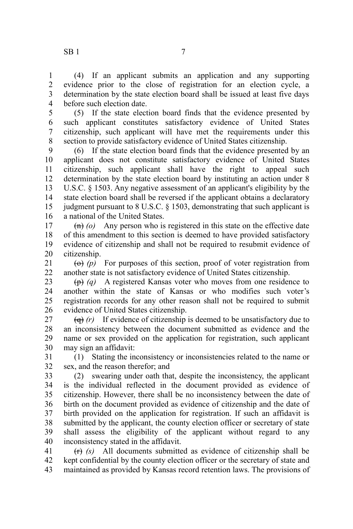(4) If an applicant submits an application and any supporting evidence prior to the close of registration for an election cycle, a determination by the state election board shall be issued at least five days before such election date. 1 2 3 4

(5) If the state election board finds that the evidence presented by such applicant constitutes satisfactory evidence of United States citizenship, such applicant will have met the requirements under this section to provide satisfactory evidence of United States citizenship. 5 6 7 8

(6) If the state election board finds that the evidence presented by an applicant does not constitute satisfactory evidence of United States citizenship, such applicant shall have the right to appeal such determination by the state election board by instituting an action under 8 U.S.C. § 1503. Any negative assessment of an applicant's eligibility by the state election board shall be reversed if the applicant obtains a declaratory judgment pursuant to 8 U.S.C. § 1503, demonstrating that such applicant is a national of the United States. 9 10 11 12 13 14 15 16

 $(n)$  (o) Any person who is registered in this state on the effective date of this amendment to this section is deemed to have provided satisfactory evidence of citizenship and shall not be required to resubmit evidence of citizenship. 17 18 19 20

 $\overline{(0)}$  (p) For purposes of this section, proof of voter registration from another state is not satisfactory evidence of United States citizenship. 21 22

(p) *(q)* A registered Kansas voter who moves from one residence to another within the state of Kansas or who modifies such voter's registration records for any other reason shall not be required to submit evidence of United States citizenship. 23 24 25 26

 $\left(\theta\right)$  (r) If evidence of citizenship is deemed to be unsatisfactory due to an inconsistency between the document submitted as evidence and the name or sex provided on the application for registration, such applicant may sign an affidavit: 27 28 29 30

(1) Stating the inconsistency or inconsistencies related to the name or sex, and the reason therefor; and 31 32

(2) swearing under oath that, despite the inconsistency, the applicant is the individual reflected in the document provided as evidence of citizenship. However, there shall be no inconsistency between the date of birth on the document provided as evidence of citizenship and the date of birth provided on the application for registration. If such an affidavit is submitted by the applicant, the county election officer or secretary of state shall assess the eligibility of the applicant without regard to any inconsistency stated in the affidavit. 33 34 35 36 37 38 39 40

(r) *(s)* All documents submitted as evidence of citizenship shall be kept confidential by the county election officer or the secretary of state and maintained as provided by Kansas record retention laws. The provisions of 41 42 43